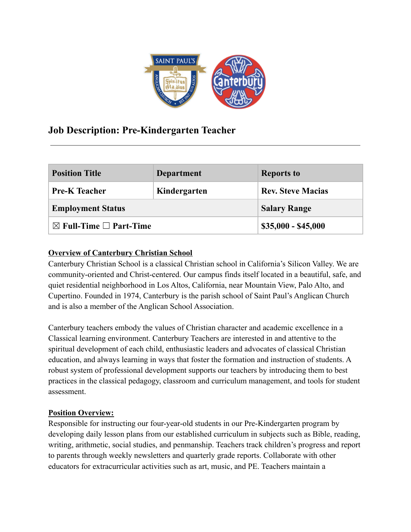

# **Job Description: Pre-Kindergarten Teacher**

| <b>Position Title</b>                  | <b>Department</b> | <b>Reports to</b>        |
|----------------------------------------|-------------------|--------------------------|
| <b>Pre-K Teacher</b>                   | Kindergarten      | <b>Rev. Steve Macias</b> |
| <b>Employment Status</b>               |                   | <b>Salary Range</b>      |
| $\boxtimes$ Full-Time $\Box$ Part-Time |                   | $$35,000 - $45,000$      |

# **Overview of Canterbury Christian School**

Canterbury Christian School is a classical Christian school in California's Silicon Valley. We are community-oriented and Christ-centered. Our campus finds itself located in a beautiful, safe, and quiet residential neighborhood in Los Altos, California, near Mountain View, Palo Alto, and Cupertino. Founded in 1974, Canterbury is the parish school of Saint Paul's Anglican Church and is also a member of the Anglican School Association.

Canterbury teachers embody the values of Christian character and academic excellence in a Classical learning environment. Canterbury Teachers are interested in and attentive to the spiritual development of each child, enthusiastic leaders and advocates of classical Christian education, and always learning in ways that foster the formation and instruction of students. A robust system of professional development supports our teachers by introducing them to best practices in the classical pedagogy, classroom and curriculum management, and tools for student assessment.

## **Position Overview:**

Responsible for instructing our four-year-old students in our Pre-Kindergarten program by developing daily lesson plans from our established curriculum in subjects such as Bible, reading, writing, arithmetic, social studies, and penmanship. Teachers track children's progress and report to parents through weekly newsletters and quarterly grade reports. Collaborate with other educators for extracurricular activities such as art, music, and PE. Teachers maintain a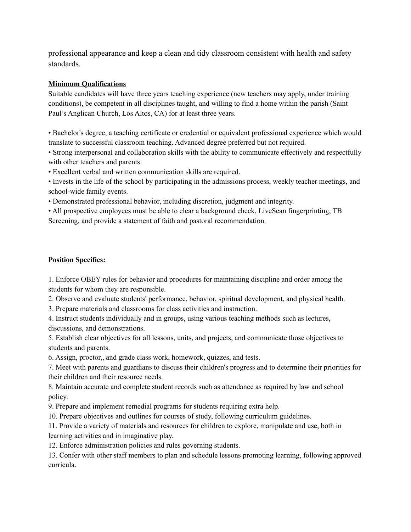professional appearance and keep a clean and tidy classroom consistent with health and safety standards.

#### **Minimum Qualifications**

Suitable candidates will have three years teaching experience (new teachers may apply, under training conditions), be competent in all disciplines taught, and willing to find a home within the parish (Saint Paul's Anglican Church, Los Altos, CA) for at least three years.

• Bachelor's degree, a teaching certificate or credential or equivalent professional experience which would translate to successful classroom teaching. Advanced degree preferred but not required.

• Strong interpersonal and collaboration skills with the ability to communicate effectively and respectfully with other teachers and parents.

• Excellent verbal and written communication skills are required.

• Invests in the life of the school by participating in the admissions process, weekly teacher meetings, and school-wide family events.

• Demonstrated professional behavior, including discretion, judgment and integrity.

• All prospective employees must be able to clear a background check, LiveScan fingerprinting, TB Screening, and provide a statement of faith and pastoral recommendation.

### **Position Specifics:**

1. Enforce OBEY rules for behavior and procedures for maintaining discipline and order among the students for whom they are responsible.

2. Observe and evaluate students' performance, behavior, spiritual development, and physical health.

3. Prepare materials and classrooms for class activities and instruction.

4. Instruct students individually and in groups, using various teaching methods such as lectures, discussions, and demonstrations.

5. Establish clear objectives for all lessons, units, and projects, and communicate those objectives to students and parents.

6. Assign, proctor,, and grade class work, homework, quizzes, and tests.

7. Meet with parents and guardians to discuss their children's progress and to determine their priorities for their children and their resource needs.

8. Maintain accurate and complete student records such as attendance as required by law and school policy.

9. Prepare and implement remedial programs for students requiring extra help.

10. Prepare objectives and outlines for courses of study, following curriculum guidelines.

11. Provide a variety of materials and resources for children to explore, manipulate and use, both in learning activities and in imaginative play.

12. Enforce administration policies and rules governing students.

13. Confer with other staff members to plan and schedule lessons promoting learning, following approved curricula.